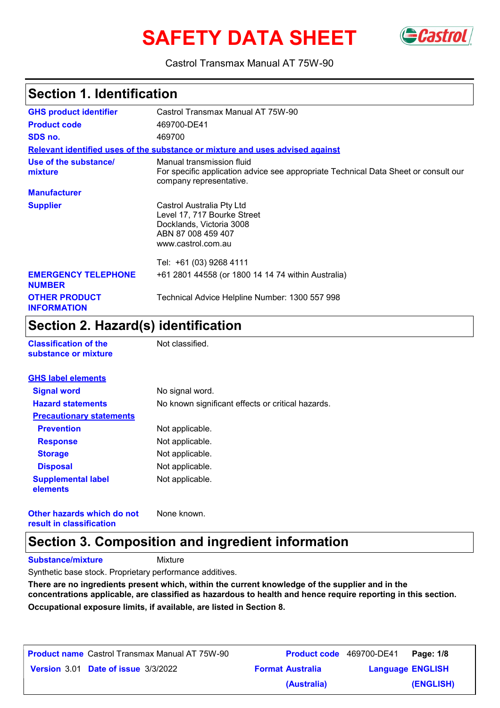# **SAFETY DATA SHEET**



Castrol Transmax Manual AT 75W-90

# **Section 1. Identification**

| <b>GHS product identifier</b>               | Castrol Transmax Manual AT 75W-90                                                                                                           |
|---------------------------------------------|---------------------------------------------------------------------------------------------------------------------------------------------|
| <b>Product code</b>                         | 469700-DE41                                                                                                                                 |
| SDS no.                                     | 469700                                                                                                                                      |
|                                             | Relevant identified uses of the substance or mixture and uses advised against                                                               |
| Use of the substance/<br>mixture            | Manual transmission fluid<br>For specific application advice see appropriate Technical Data Sheet or consult our<br>company representative. |
| <b>Manufacturer</b>                         |                                                                                                                                             |
| <b>Supplier</b>                             | Castrol Australia Pty Ltd<br>Level 17, 717 Bourke Street<br>Docklands, Victoria 3008<br>ABN 87 008 459 407<br>www.castrol.com.au            |
|                                             | Tel: +61 (03) 9268 4111                                                                                                                     |
| <b>EMERGENCY TELEPHONE</b><br><b>NUMBER</b> | +61 2801 44558 (or 1800 14 14 74 within Australia)                                                                                          |
| <b>OTHER PRODUCT</b><br><b>INFORMATION</b>  | Technical Advice Helpline Number: 1300 557 998                                                                                              |

### **Section 2. Hazard(s) identification**

| <b>Classification of the</b> |  |
|------------------------------|--|
| substance or mixture         |  |

**Not classified.** 

| <b>GHS label elements</b>             |                                                   |
|---------------------------------------|---------------------------------------------------|
| <b>Signal word</b>                    | No signal word.                                   |
| <b>Hazard statements</b>              | No known significant effects or critical hazards. |
| <b>Precautionary statements</b>       |                                                   |
| <b>Prevention</b>                     | Not applicable.                                   |
| <b>Response</b>                       | Not applicable.                                   |
| <b>Storage</b>                        | Not applicable.                                   |
| <b>Disposal</b>                       | Not applicable.                                   |
| <b>Supplemental label</b><br>elements | Not applicable.                                   |

**Other hazards which do not result in classification** None known.

## **Section 3. Composition and ingredient information**

**Substance/mixture**

Mixture

Synthetic base stock. Proprietary performance additives.

**There are no ingredients present which, within the current knowledge of the supplier and in the concentrations applicable, are classified as hazardous to health and hence require reporting in this section. Occupational exposure limits, if available, are listed in Section 8.**

| <b>Product name</b> Castrol Transmax Manual AT 75W-90 | <b>Product code</b> 469700-DE41 |                         | Page: 1/8 |
|-------------------------------------------------------|---------------------------------|-------------------------|-----------|
| Version 3.01 Date of issue 3/3/2022                   | <b>Format Australia</b>         | <b>Language ENGLISH</b> |           |
|                                                       | (Australia)                     |                         | (ENGLISH) |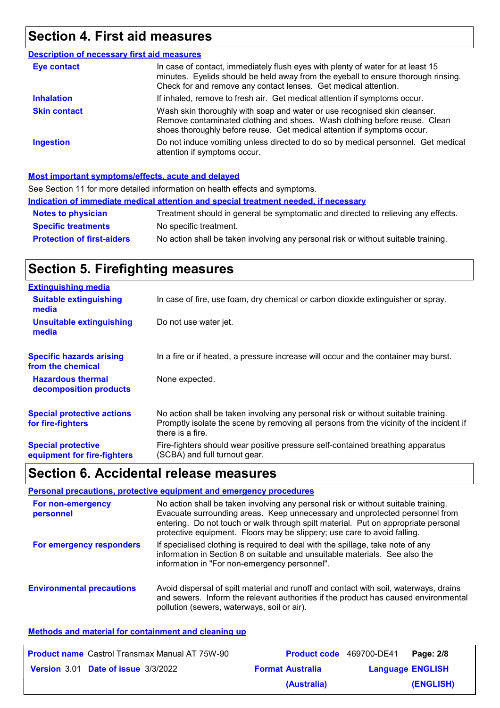# **Section 4. First aid measures**

| <b>Description of necessary first aid measures</b> |                                                                                                                                                                                                                                         |
|----------------------------------------------------|-----------------------------------------------------------------------------------------------------------------------------------------------------------------------------------------------------------------------------------------|
| <b>Eye contact</b>                                 | In case of contact, immediately flush eyes with plenty of water for at least 15<br>minutes. Eyelids should be held away from the eyeball to ensure thorough rinsing.<br>Check for and remove any contact lenses. Get medical attention. |
| <b>Inhalation</b>                                  | If inhaled, remove to fresh air. Get medical attention if symptoms occur.                                                                                                                                                               |
| <b>Skin contact</b>                                | Wash skin thoroughly with soap and water or use recognised skin cleanser.<br>Remove contaminated clothing and shoes. Wash clothing before reuse. Clean<br>shoes thoroughly before reuse. Get medical attention if symptoms occur.       |
| <b>Ingestion</b>                                   | Do not induce vomiting unless directed to do so by medical personnel. Get medical<br>attention if symptoms occur.                                                                                                                       |

#### **Most important symptoms/effects, acute and delayed**

| See Section 11 for more detailed information on health effects and symptoms.                                            |                                                                                   |  |  |
|-------------------------------------------------------------------------------------------------------------------------|-----------------------------------------------------------------------------------|--|--|
| Indication of immediate medical attention and special treatment needed, if necessary                                    |                                                                                   |  |  |
| <b>Notes to physician</b>                                                                                               | Treatment should in general be symptomatic and directed to relieving any effects. |  |  |
| <b>Specific treatments</b>                                                                                              | No specific treatment.                                                            |  |  |
| No action shall be taken involving any personal risk or without suitable training.<br><b>Protection of first-aiders</b> |                                                                                   |  |  |

# **Section 5. Firefighting measures**

| <b>Extinguishing media</b>                               |                                                                                                                                                                                                   |
|----------------------------------------------------------|---------------------------------------------------------------------------------------------------------------------------------------------------------------------------------------------------|
| <b>Suitable extinguishing</b><br>media                   | In case of fire, use foam, dry chemical or carbon dioxide extinguisher or spray.                                                                                                                  |
| <b>Unsuitable extinguishing</b><br>media                 | Do not use water jet.                                                                                                                                                                             |
| <b>Specific hazards arising</b><br>from the chemical     | In a fire or if heated, a pressure increase will occur and the container may burst.                                                                                                               |
| <b>Hazardous thermal</b><br>decomposition products       | None expected.                                                                                                                                                                                    |
| <b>Special protective actions</b><br>for fire-fighters   | No action shall be taken involving any personal risk or without suitable training.<br>Promptly isolate the scene by removing all persons from the vicinity of the incident if<br>there is a fire. |
| <b>Special protective</b><br>equipment for fire-fighters | Fire-fighters should wear positive pressure self-contained breathing apparatus<br>(SCBA) and full turnout gear.                                                                                   |

# **Section 6. Accidental release measures**

| Personal precautions, protective equipment and emergency procedures |                                                                                                                                                                                                                                                                                                                                     |  |  |  |
|---------------------------------------------------------------------|-------------------------------------------------------------------------------------------------------------------------------------------------------------------------------------------------------------------------------------------------------------------------------------------------------------------------------------|--|--|--|
| For non-emergency<br>personnel                                      | No action shall be taken involving any personal risk or without suitable training.<br>Evacuate surrounding areas. Keep unnecessary and unprotected personnel from<br>entering. Do not touch or walk through spilt material. Put on appropriate personal<br>protective equipment. Floors may be slippery; use care to avoid falling. |  |  |  |
| For emergency responders                                            | If specialised clothing is required to deal with the spillage, take note of any<br>information in Section 8 on suitable and unsuitable materials. See also the<br>information in "For non-emergency personnel".                                                                                                                     |  |  |  |
| <b>Environmental precautions</b>                                    | Avoid dispersal of spilt material and runoff and contact with soil, waterways, drains<br>and sewers. Inform the relevant authorities if the product has caused environmental<br>pollution (sewers, waterways, soil or air).                                                                                                         |  |  |  |

### **Methods and material for containment and cleaning up**

| <b>Product name</b> Castrol Transmax Manual AT 75W-90 | <b>Product code</b> 469700-DE41 |                         | Page: 2/8 |
|-------------------------------------------------------|---------------------------------|-------------------------|-----------|
| Version 3.01 Date of issue 3/3/2022                   | <b>Format Australia</b>         | <b>Language ENGLISH</b> |           |
|                                                       | (Australia)                     |                         | (ENGLISH) |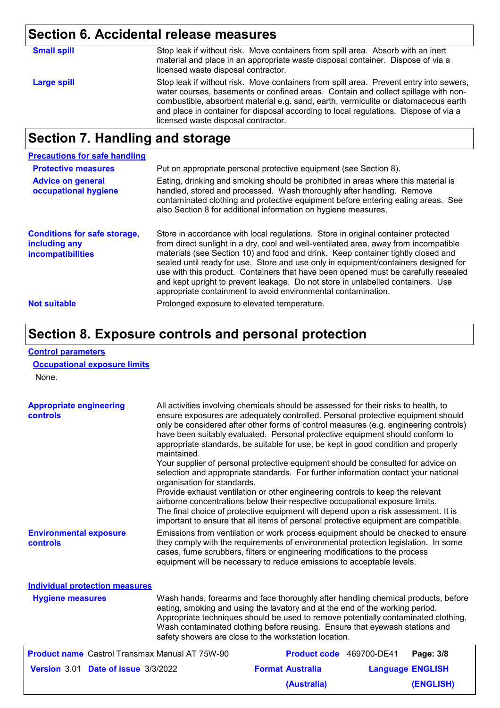# **Section 6. Accidental release measures**

| <b>Small spill</b> | Stop leak if without risk. Move containers from spill area. Absorb with an inert<br>material and place in an appropriate waste disposal container. Dispose of via a<br>licensed waste disposal contractor.                                                                                                                                                                                         |
|--------------------|----------------------------------------------------------------------------------------------------------------------------------------------------------------------------------------------------------------------------------------------------------------------------------------------------------------------------------------------------------------------------------------------------|
| Large spill        | Stop leak if without risk. Move containers from spill area. Prevent entry into sewers,<br>water courses, basements or confined areas. Contain and collect spillage with non-<br>combustible, absorbent material e.g. sand, earth, vermiculite or diatomaceous earth<br>and place in container for disposal according to local regulations. Dispose of via a<br>licensed waste disposal contractor. |
|                    |                                                                                                                                                                                                                                                                                                                                                                                                    |

# **Section 7. Handling and storage**

| <b>Precautions for safe handling</b>                                      |                                                                                                                                                                                                                                                                                                                                                                                                                                                                                                                                                                                                |
|---------------------------------------------------------------------------|------------------------------------------------------------------------------------------------------------------------------------------------------------------------------------------------------------------------------------------------------------------------------------------------------------------------------------------------------------------------------------------------------------------------------------------------------------------------------------------------------------------------------------------------------------------------------------------------|
| <b>Protective measures</b>                                                | Put on appropriate personal protective equipment (see Section 8).                                                                                                                                                                                                                                                                                                                                                                                                                                                                                                                              |
| <b>Advice on general</b><br>occupational hygiene                          | Eating, drinking and smoking should be prohibited in areas where this material is<br>handled, stored and processed. Wash thoroughly after handling. Remove<br>contaminated clothing and protective equipment before entering eating areas. See<br>also Section 8 for additional information on hygiene measures.                                                                                                                                                                                                                                                                               |
| <b>Conditions for safe storage,</b><br>including any<br>incompatibilities | Store in accordance with local regulations. Store in original container protected<br>from direct sunlight in a dry, cool and well-ventilated area, away from incompatible<br>materials (see Section 10) and food and drink. Keep container tightly closed and<br>sealed until ready for use. Store and use only in equipment/containers designed for<br>use with this product. Containers that have been opened must be carefully resealed<br>and kept upright to prevent leakage. Do not store in unlabelled containers. Use<br>appropriate containment to avoid environmental contamination. |
| <b>Not suitable</b>                                                       | Prolonged exposure to elevated temperature.                                                                                                                                                                                                                                                                                                                                                                                                                                                                                                                                                    |

### **Section 8. Exposure controls and personal protection**

### **Control parameters**

### **Occupational exposure limits**

None.

| <b>Appropriate engineering</b><br>controls            | All activities involving chemicals should be assessed for their risks to health, to<br>ensure exposures are adequately controlled. Personal protective equipment should<br>only be considered after other forms of control measures (e.g. engineering controls)<br>have been suitably evaluated. Personal protective equipment should conform to<br>appropriate standards, be suitable for use, be kept in good condition and properly<br>maintained.<br>Your supplier of personal protective equipment should be consulted for advice on<br>selection and appropriate standards. For further information contact your national<br>organisation for standards.<br>Provide exhaust ventilation or other engineering controls to keep the relevant<br>airborne concentrations below their respective occupational exposure limits.<br>The final choice of protective equipment will depend upon a risk assessment. It is<br>important to ensure that all items of personal protective equipment are compatible. |                                 |                         |           |
|-------------------------------------------------------|---------------------------------------------------------------------------------------------------------------------------------------------------------------------------------------------------------------------------------------------------------------------------------------------------------------------------------------------------------------------------------------------------------------------------------------------------------------------------------------------------------------------------------------------------------------------------------------------------------------------------------------------------------------------------------------------------------------------------------------------------------------------------------------------------------------------------------------------------------------------------------------------------------------------------------------------------------------------------------------------------------------|---------------------------------|-------------------------|-----------|
| <b>Environmental exposure</b><br>controls             | Emissions from ventilation or work process equipment should be checked to ensure<br>they comply with the requirements of environmental protection legislation. In some<br>cases, fume scrubbers, filters or engineering modifications to the process<br>equipment will be necessary to reduce emissions to acceptable levels.                                                                                                                                                                                                                                                                                                                                                                                                                                                                                                                                                                                                                                                                                 |                                 |                         |           |
| <b>Individual protection measures</b>                 |                                                                                                                                                                                                                                                                                                                                                                                                                                                                                                                                                                                                                                                                                                                                                                                                                                                                                                                                                                                                               |                                 |                         |           |
| <b>Hygiene measures</b>                               | Wash hands, forearms and face thoroughly after handling chemical products, before<br>eating, smoking and using the lavatory and at the end of the working period.<br>Appropriate techniques should be used to remove potentially contaminated clothing.<br>Wash contaminated clothing before reusing. Ensure that eyewash stations and<br>safety showers are close to the workstation location.                                                                                                                                                                                                                                                                                                                                                                                                                                                                                                                                                                                                               |                                 |                         |           |
| <b>Product name</b> Castrol Transmax Manual AT 75W-90 |                                                                                                                                                                                                                                                                                                                                                                                                                                                                                                                                                                                                                                                                                                                                                                                                                                                                                                                                                                                                               | <b>Product code</b> 469700-DE41 |                         | Page: 3/8 |
| Version 3.01 Date of issue 3/3/2022                   |                                                                                                                                                                                                                                                                                                                                                                                                                                                                                                                                                                                                                                                                                                                                                                                                                                                                                                                                                                                                               | <b>Format Australia</b>         | <b>Language ENGLISH</b> |           |

**(Australia)**

**(ENGLISH)**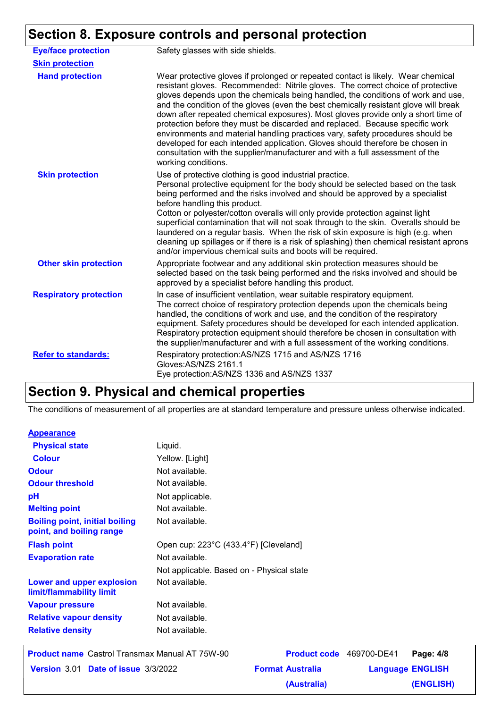# **Section 8. Exposure controls and personal protection**

| <b>Eye/face protection</b>    | Safety glasses with side shields.                                                                                                                                                                                                                                                                                                                                                                                                                                                                                                                                                                                                                                                                                                                                                               |
|-------------------------------|-------------------------------------------------------------------------------------------------------------------------------------------------------------------------------------------------------------------------------------------------------------------------------------------------------------------------------------------------------------------------------------------------------------------------------------------------------------------------------------------------------------------------------------------------------------------------------------------------------------------------------------------------------------------------------------------------------------------------------------------------------------------------------------------------|
| <b>Skin protection</b>        |                                                                                                                                                                                                                                                                                                                                                                                                                                                                                                                                                                                                                                                                                                                                                                                                 |
| <b>Hand protection</b>        | Wear protective gloves if prolonged or repeated contact is likely. Wear chemical<br>resistant gloves. Recommended: Nitrile gloves. The correct choice of protective<br>gloves depends upon the chemicals being handled, the conditions of work and use,<br>and the condition of the gloves (even the best chemically resistant glove will break<br>down after repeated chemical exposures). Most gloves provide only a short time of<br>protection before they must be discarded and replaced. Because specific work<br>environments and material handling practices vary, safety procedures should be<br>developed for each intended application. Gloves should therefore be chosen in<br>consultation with the supplier/manufacturer and with a full assessment of the<br>working conditions. |
| <b>Skin protection</b>        | Use of protective clothing is good industrial practice.<br>Personal protective equipment for the body should be selected based on the task<br>being performed and the risks involved and should be approved by a specialist<br>before handling this product.<br>Cotton or polyester/cotton overalls will only provide protection against light<br>superficial contamination that will not soak through to the skin. Overalls should be<br>laundered on a regular basis. When the risk of skin exposure is high (e.g. when<br>cleaning up spillages or if there is a risk of splashing) then chemical resistant aprons<br>and/or impervious chemical suits and boots will be required.                                                                                                           |
| <b>Other skin protection</b>  | Appropriate footwear and any additional skin protection measures should be<br>selected based on the task being performed and the risks involved and should be<br>approved by a specialist before handling this product.                                                                                                                                                                                                                                                                                                                                                                                                                                                                                                                                                                         |
| <b>Respiratory protection</b> | In case of insufficient ventilation, wear suitable respiratory equipment.<br>The correct choice of respiratory protection depends upon the chemicals being<br>handled, the conditions of work and use, and the condition of the respiratory<br>equipment. Safety procedures should be developed for each intended application.<br>Respiratory protection equipment should therefore be chosen in consultation with<br>the supplier/manufacturer and with a full assessment of the working conditions.                                                                                                                                                                                                                                                                                           |
| <b>Refer to standards:</b>    | Respiratory protection: AS/NZS 1715 and AS/NZS 1716<br>Gloves:AS/NZS 2161.1<br>Eye protection: AS/NZS 1336 and AS/NZS 1337                                                                                                                                                                                                                                                                                                                                                                                                                                                                                                                                                                                                                                                                      |

# **Section 9. Physical and chemical properties**

The conditions of measurement of all properties are at standard temperature and pressure unless otherwise indicated.

#### **Appearance**

| <b>Colour</b><br><b>Odour</b><br><b>Odour threshold</b><br>рH     | Yellow. [Light]<br>Not available.<br>Not available.<br>Not applicable. |  |
|-------------------------------------------------------------------|------------------------------------------------------------------------|--|
|                                                                   |                                                                        |  |
|                                                                   |                                                                        |  |
|                                                                   |                                                                        |  |
|                                                                   |                                                                        |  |
| <b>Melting point</b>                                              | Not available.                                                         |  |
| <b>Boiling point, initial boiling</b><br>point, and boiling range | Not available.                                                         |  |
| <b>Flash point</b>                                                | Open cup: 223°C (433.4°F) [Cleveland]                                  |  |
| <b>Evaporation rate</b>                                           | Not available.                                                         |  |
|                                                                   | Not applicable. Based on - Physical state                              |  |
| Lower and upper explosion<br>limit/flammability limit             | Not available.                                                         |  |
| <b>Vapour pressure</b>                                            | Not available.                                                         |  |
| <b>Relative vapour density</b>                                    | Not available.                                                         |  |
| <b>Relative density</b>                                           | Not available.                                                         |  |
|                                                                   |                                                                        |  |

| <b>Product name</b> Castrol Transmax Manual AT 75W-90 |                         | Product code 469700-DE41 Page: 4/8 |           |
|-------------------------------------------------------|-------------------------|------------------------------------|-----------|
| Version 3.01 Date of issue 3/3/2022                   | <b>Format Australia</b> | <b>Language ENGLISH</b>            |           |
|                                                       | (Australia)             |                                    | (ENGLISH) |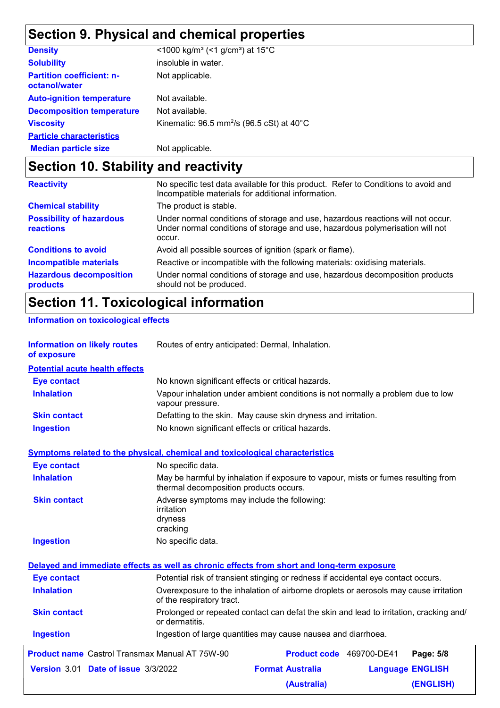# **Section 9. Physical and chemical properties**

| <b>Density</b>                                    | <1000 kg/m <sup>3</sup> (<1 g/cm <sup>3</sup> ) at 15 <sup>°</sup> C |
|---------------------------------------------------|----------------------------------------------------------------------|
| <b>Solubility</b>                                 | insoluble in water.                                                  |
| <b>Partition coefficient: n-</b><br>octanol/water | Not applicable.                                                      |
| <b>Auto-ignition temperature</b>                  | Not available.                                                       |
| <b>Decomposition temperature</b>                  | Not available.                                                       |
| <b>Viscosity</b>                                  | Kinematic: 96.5 mm <sup>2</sup> /s (96.5 cSt) at 40°C                |
| <b>Particle characteristics</b>                   |                                                                      |
| <b>Median particle size</b>                       | Not applicable.                                                      |

# **Section 10. Stability and reactivity**

| <b>Reactivity</b>                            | No specific test data available for this product. Refer to Conditions to avoid and<br>Incompatible materials for additional information.                                   |
|----------------------------------------------|----------------------------------------------------------------------------------------------------------------------------------------------------------------------------|
| <b>Chemical stability</b>                    | The product is stable.                                                                                                                                                     |
| <b>Possibility of hazardous</b><br>reactions | Under normal conditions of storage and use, hazardous reactions will not occur.<br>Under normal conditions of storage and use, hazardous polymerisation will not<br>occur. |
| <b>Conditions to avoid</b>                   | Avoid all possible sources of ignition (spark or flame).                                                                                                                   |
| <b>Incompatible materials</b>                | Reactive or incompatible with the following materials: oxidising materials.                                                                                                |
| <b>Hazardous decomposition</b><br>products   | Under normal conditions of storage and use, hazardous decomposition products<br>should not be produced.                                                                    |

# **Section 11. Toxicological information**

**Information on toxicological effects**

| <b>Information on likely routes</b><br>of exposure    | Routes of entry anticipated: Dermal, Inhalation.                                                                            |  |
|-------------------------------------------------------|-----------------------------------------------------------------------------------------------------------------------------|--|
| <b>Potential acute health effects</b>                 |                                                                                                                             |  |
| <b>Eye contact</b>                                    | No known significant effects or critical hazards.                                                                           |  |
| <b>Inhalation</b>                                     | Vapour inhalation under ambient conditions is not normally a problem due to low<br>vapour pressure.                         |  |
| <b>Skin contact</b>                                   | Defatting to the skin. May cause skin dryness and irritation.                                                               |  |
| <b>Ingestion</b>                                      | No known significant effects or critical hazards.                                                                           |  |
|                                                       | <b>Symptoms related to the physical, chemical and toxicological characteristics</b>                                         |  |
| <b>Eye contact</b>                                    | No specific data.                                                                                                           |  |
| <b>Inhalation</b>                                     | May be harmful by inhalation if exposure to vapour, mists or fumes resulting from<br>thermal decomposition products occurs. |  |
| <b>Skin contact</b>                                   | Adverse symptoms may include the following:<br>irritation<br>dryness<br>cracking                                            |  |
| <b>Ingestion</b>                                      | No specific data.                                                                                                           |  |
|                                                       | Delayed and immediate effects as well as chronic effects from short and long-term exposure                                  |  |
| <b>Eye contact</b>                                    | Potential risk of transient stinging or redness if accidental eye contact occurs.                                           |  |
| <b>Inhalation</b>                                     | Overexposure to the inhalation of airborne droplets or aerosols may cause irritation<br>of the respiratory tract.           |  |
| <b>Skin contact</b>                                   | Prolonged or repeated contact can defat the skin and lead to irritation, cracking and/<br>or dermatitis.                    |  |
| <b>Ingestion</b>                                      | Ingestion of large quantities may cause nausea and diarrhoea.                                                               |  |
| <b>Product name</b> Castrol Transmax Manual AT 75W-90 | Product code 469700-DE41<br>Page: 5/8                                                                                       |  |
| Version 3.01 Date of issue 3/3/2022                   | <b>Format Australia</b><br><b>Language ENGLISH</b>                                                                          |  |
|                                                       | (ENGLISH)<br>(Australia)                                                                                                    |  |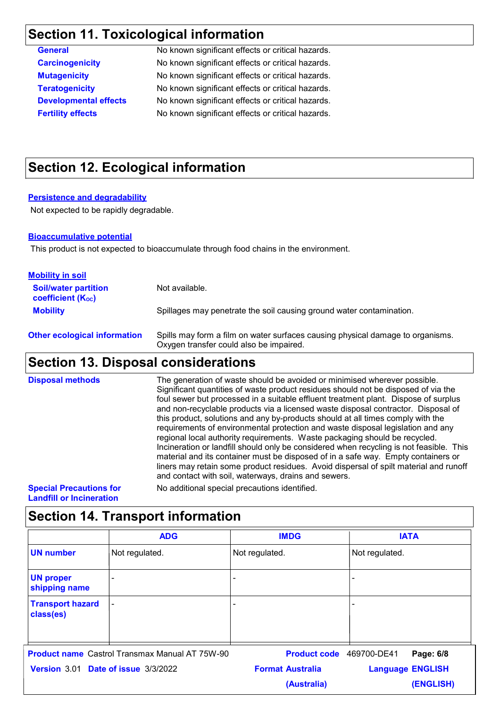# **Section 11. Toxicological information**

No known significant effects or critical hazards. No known significant effects or critical hazards. No known significant effects or critical hazards. No known significant effects or critical hazards. No known significant effects or critical hazards. No known significant effects or critical hazards.

# **Section 12. Ecological information**

#### **Persistence and degradability**

Not expected to be rapidly degradable.

#### **Bioaccumulative potential**

This product is not expected to bioaccumulate through food chains in the environment.

| <b>Mobility in soil</b>                                 |                                                                                                                           |
|---------------------------------------------------------|---------------------------------------------------------------------------------------------------------------------------|
| <b>Soil/water partition</b><br><b>coefficient (Koc)</b> | Not available.                                                                                                            |
| <b>Mobility</b>                                         | Spillages may penetrate the soil causing ground water contamination.                                                      |
| <b>Other ecological information</b>                     | Spills may form a film on water surfaces causing physical damage to organisms.<br>Oxygen transfer could also be impaired. |

### **Section 13. Disposal considerations**

The generation of waste should be avoided or minimised wherever possible. Significant quantities of waste product residues should not be disposed of via the foul sewer but processed in a suitable effluent treatment plant. Dispose of surplus and non-recyclable products via a licensed waste disposal contractor. Disposal of this product, solutions and any by-products should at all times comply with the requirements of environmental protection and waste disposal legislation and any regional local authority requirements. Waste packaging should be recycled. Incineration or landfill should only be considered when recycling is not feasible. This material and its container must be disposed of in a safe way. Empty containers or liners may retain some product residues. Avoid dispersal of spilt material and runoff and contact with soil, waterways, drains and sewers. **Disposal methods**

**Special Precautions for Landfill or Incineration**

No additional special precautions identified.

### **Section 14. Transport information**

|                                                       | <b>ADG</b>     | <b>IMDG</b>              | <b>IATA</b>             |
|-------------------------------------------------------|----------------|--------------------------|-------------------------|
| <b>UN number</b>                                      | Not regulated. | Not regulated.           | Not regulated.          |
| <b>UN proper</b><br>shipping name                     |                |                          | $\blacksquare$          |
| <b>Transport hazard</b><br>class(es)                  | $\blacksquare$ |                          | $\blacksquare$          |
| <b>Product name</b> Castrol Transmax Manual AT 75W-90 |                | Product code 469700-DE41 | Page: 6/8               |
| Version 3.01 Date of issue 3/3/2022                   |                | <b>Format Australia</b>  | <b>Language ENGLISH</b> |
|                                                       |                | (Australia)              | (ENGLISH)               |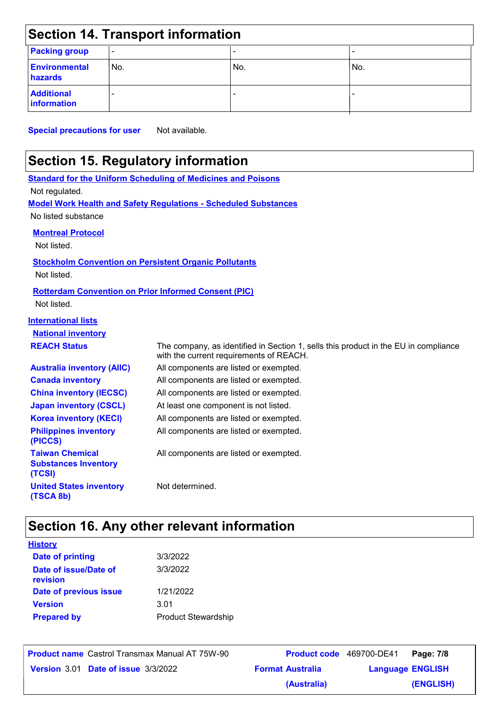| <b>Section 14. Transport information</b> |                          |     |     |
|------------------------------------------|--------------------------|-----|-----|
| <b>Packing group</b>                     | $\overline{\phantom{a}}$ |     |     |
| <b>Environmental</b><br>hazards          | No.                      | No. | No. |
| <b>Additional</b><br><b>Information</b>  |                          |     |     |

**Special precautions for user** Not available.

# **Section 15. Regulatory information**

|                                                                 | <b>Standard for the Uniform Scheduling of Medicines and Poisons</b>                                                            |
|-----------------------------------------------------------------|--------------------------------------------------------------------------------------------------------------------------------|
| Not regulated.                                                  |                                                                                                                                |
|                                                                 | <b>Model Work Health and Safety Regulations - Scheduled Substances</b>                                                         |
| No listed substance                                             |                                                                                                                                |
| <b>Montreal Protocol</b>                                        |                                                                                                                                |
| Not listed.                                                     |                                                                                                                                |
| <b>Stockholm Convention on Persistent Organic Pollutants</b>    |                                                                                                                                |
| Not listed.                                                     |                                                                                                                                |
| <b>Rotterdam Convention on Prior Informed Consent (PIC)</b>     |                                                                                                                                |
| Not listed.                                                     |                                                                                                                                |
| <b>International lists</b>                                      |                                                                                                                                |
| <b>National inventory</b>                                       |                                                                                                                                |
| <b>REACH Status</b>                                             | The company, as identified in Section 1, sells this product in the EU in compliance<br>with the current requirements of REACH. |
| <b>Australia inventory (AIIC)</b>                               | All components are listed or exempted.                                                                                         |
| <b>Canada inventory</b>                                         | All components are listed or exempted.                                                                                         |
| <b>China inventory (IECSC)</b>                                  | All components are listed or exempted.                                                                                         |
| <b>Japan inventory (CSCL)</b>                                   | At least one component is not listed.                                                                                          |
| <b>Korea inventory (KECI)</b>                                   | All components are listed or exempted.                                                                                         |
| <b>Philippines inventory</b><br>(PICCS)                         | All components are listed or exempted.                                                                                         |
| <b>Taiwan Chemical</b><br><b>Substances Inventory</b><br>(TCSI) | All components are listed or exempted.                                                                                         |
| <b>United States inventory</b><br>(TSCA 8b)                     | Not determined.                                                                                                                |

# **Section 16. Any other relevant information**

| <b>History</b>                    |                            |
|-----------------------------------|----------------------------|
| <b>Date of printing</b>           | 3/3/2022                   |
| Date of issue/Date of<br>revision | 3/3/2022                   |
| Date of previous issue            | 1/21/2022                  |
| <b>Version</b>                    | 3.01                       |
| <b>Prepared by</b>                | <b>Product Stewardship</b> |

**Product name** Castrol Transmax Manual AT 75W-90 **Product code** 469700-DE41 **Page: 7/8** | **Date of issue Version** 3.01 **Format Australia Language** 3/3/2022

**Language ENGLISH (ENGLISH)** Product code 469700-DE41 Page **(Australia)**